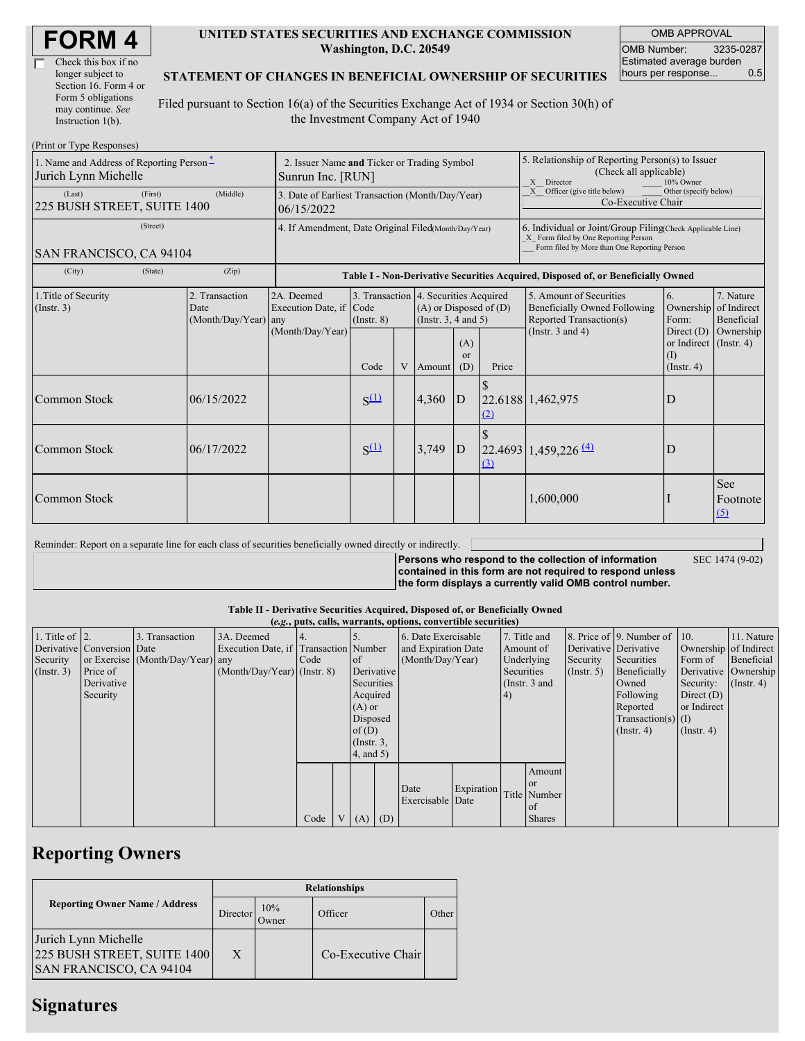| Check this box if no  |
|-----------------------|
| longer subject to     |
| Section 16. Form 4 or |
| Form 5 obligations    |
| may continue. See     |
| Instruction 1(b).     |

#### **UNITED STATES SECURITIES AND EXCHANGE COMMISSION Washington, D.C. 20549**

OMB APPROVAL OMB Number: 3235-0287 Estimated average burden hours per response... 0.5

### **STATEMENT OF CHANGES IN BENEFICIAL OWNERSHIP OF SECURITIES**

Filed pursuant to Section 16(a) of the Securities Exchange Act of 1934 or Section 30(h) of the Investment Company Act of 1940

| (Print or Type Responses)                                        |                                                                                  |                                                           |                 |   |                                                                                             |                         |                                                                                                                                                    |                                                                                           |                                                                   |                         |
|------------------------------------------------------------------|----------------------------------------------------------------------------------|-----------------------------------------------------------|-----------------|---|---------------------------------------------------------------------------------------------|-------------------------|----------------------------------------------------------------------------------------------------------------------------------------------------|-------------------------------------------------------------------------------------------|-------------------------------------------------------------------|-------------------------|
| 1. Name and Address of Reporting Person*<br>Jurich Lynn Michelle | 2. Issuer Name and Ticker or Trading Symbol<br>Sunrun Inc. [RUN]                 |                                                           |                 |   |                                                                                             |                         | 5. Relationship of Reporting Person(s) to Issuer<br>(Check all applicable)<br>X Director<br>10% Owner                                              |                                                                                           |                                                                   |                         |
| (Last)<br>(First)<br>225 BUSH STREET, SUITE 1400                 | 3. Date of Earliest Transaction (Month/Day/Year)<br>06/15/2022                   |                                                           |                 |   |                                                                                             |                         | Officer (give title below)<br>Other (specify below)<br>X<br>Co-Executive Chair                                                                     |                                                                                           |                                                                   |                         |
| (Street)<br><b>SAN FRANCISCO, CA 94104</b>                       | 4. If Amendment, Date Original Filed(Month/Day/Year)                             |                                                           |                 |   |                                                                                             |                         | 6. Individual or Joint/Group Filing(Check Applicable Line)<br>X Form filed by One Reporting Person<br>Form filed by More than One Reporting Person |                                                                                           |                                                                   |                         |
| (City)<br>(State)                                                | Table I - Non-Derivative Securities Acquired, Disposed of, or Beneficially Owned |                                                           |                 |   |                                                                                             |                         |                                                                                                                                                    |                                                                                           |                                                                   |                         |
| 1. Title of Security<br>(Insert. 3)                              | 2. Transaction<br>Date<br>$(Month/Day/Year)$ any                                 | 2A. Deemed<br>Execution Date, if Code<br>(Month/Day/Year) | $($ Instr. $8)$ |   | 3. Transaction 4. Securities Acquired<br>$(A)$ or Disposed of $(D)$<br>(Insert. 3, 4 and 5) |                         |                                                                                                                                                    | 5. Amount of Securities<br><b>Beneficially Owned Following</b><br>Reported Transaction(s) | 6.<br>Ownership of Indirect<br>Form:                              | 7. Nature<br>Beneficial |
|                                                                  |                                                                                  |                                                           | Code            | V | Amount                                                                                      | (A)<br><b>or</b><br>(D) | Price                                                                                                                                              | (Instr. $3$ and $4$ )                                                                     | Direct $(D)$<br>or Indirect (Instr. 4)<br>(I)<br>$($ Instr. 4 $)$ | Ownership               |
| Common Stock                                                     | 06/15/2022                                                                       |                                                           | $S^{(1)}$       |   | 4,360                                                                                       | ID                      | (2)                                                                                                                                                | 22.6188 1,462,975                                                                         | D                                                                 |                         |
| Common Stock                                                     | 06/17/2022                                                                       |                                                           | $S^{(1)}$       |   | 3,749                                                                                       | D                       | (3)                                                                                                                                                | $22.4693 \mid 1,459,226 \mid 4$                                                           | D                                                                 |                         |
| Common Stock                                                     |                                                                                  |                                                           |                 |   |                                                                                             |                         |                                                                                                                                                    | 1,600,000                                                                                 |                                                                   | See<br>Footnote<br>(5)  |

Reminder: Report on a separate line for each class of securities beneficially owned directly or indirectly.

**Persons who respond to the collection of information contained in this form are not required to respond unless the form displays a currently valid OMB control number.** SEC 1474 (9-02)

#### **Table II - Derivative Securities Acquired, Disposed of, or Beneficially Owned**

|                        | (e.g., puts, calls, warrants, options, convertible securities) |                                  |                                       |      |          |                  |  |                          |            |            |               |                       |                              |                       |                  |
|------------------------|----------------------------------------------------------------|----------------------------------|---------------------------------------|------|----------|------------------|--|--------------------------|------------|------------|---------------|-----------------------|------------------------------|-----------------------|------------------|
| 1. Title of $\vert$ 2. |                                                                | 3. Transaction                   | 3A. Deemed                            |      |          |                  |  | 6. Date Exercisable      |            |            | 7. Title and  |                       | 8. Price of 9. Number of 10. |                       | 11. Nature       |
|                        | Derivative Conversion Date                                     |                                  | Execution Date, if Transaction Number |      |          |                  |  | and Expiration Date      |            |            | Amount of     | Derivative Derivative |                              | Ownership of Indirect |                  |
| Security               |                                                                | or Exercise (Month/Day/Year) any |                                       | Code |          | of               |  | (Month/Day/Year)         |            | Underlying |               | Security              | Securities                   | Form of               | Beneficial       |
| (Insert. 3)            | Price of                                                       |                                  | $(Month/Day/Year)$ (Instr. 8)         |      |          | Derivative       |  |                          |            | Securities |               | $($ Instr. 5)         | Beneficially                 | Derivative Ownership  |                  |
|                        | Derivative                                                     |                                  |                                       |      |          | Securities       |  |                          |            |            | (Instr. 3 and |                       | Owned                        | Security:             | $($ Instr. 4 $)$ |
|                        | Security                                                       |                                  |                                       |      |          | Acquired         |  |                          |            | 4)         |               |                       | Following                    | Direct $(D)$          |                  |
|                        |                                                                |                                  |                                       |      |          | $(A)$ or         |  |                          |            |            |               |                       | Reported                     | or Indirect           |                  |
|                        |                                                                |                                  |                                       |      | Disposed |                  |  |                          |            |            |               | $Transaction(s)$ (I)  |                              |                       |                  |
|                        |                                                                |                                  |                                       |      |          | of(D)            |  |                          |            |            |               |                       | $($ Instr. 4 $)$             | $($ Instr. 4 $)$      |                  |
|                        |                                                                |                                  |                                       |      |          | $($ Instr. $3$ , |  |                          |            |            |               |                       |                              |                       |                  |
|                        |                                                                |                                  |                                       |      |          | 4, and 5)        |  |                          |            |            |               |                       |                              |                       |                  |
|                        |                                                                |                                  |                                       |      |          |                  |  |                          |            |            | Amount        |                       |                              |                       |                  |
|                        |                                                                |                                  |                                       |      |          |                  |  |                          | Expiration |            | <sub>or</sub> |                       |                              |                       |                  |
|                        |                                                                |                                  |                                       |      |          |                  |  | Date<br>Exercisable Date |            |            | Title Number  |                       |                              |                       |                  |
|                        |                                                                |                                  |                                       |      |          |                  |  |                          |            |            | of            |                       |                              |                       |                  |
|                        |                                                                |                                  |                                       | Code |          | $(A)$ $(D)$      |  |                          |            |            | <b>Shares</b> |                       |                              |                       |                  |

# **Reporting Owners**

|                                                                                       | <b>Relationships</b> |              |                    |       |  |  |  |  |
|---------------------------------------------------------------------------------------|----------------------|--------------|--------------------|-------|--|--|--|--|
| <b>Reporting Owner Name / Address</b>                                                 | Director             | 10%<br>Owner | Officer            | Other |  |  |  |  |
| Jurich Lynn Michelle<br>225 BUSH STREET, SUITE 1400<br><b>SAN FRANCISCO, CA 94104</b> | X                    |              | Co-Executive Chair |       |  |  |  |  |

## **Signatures**